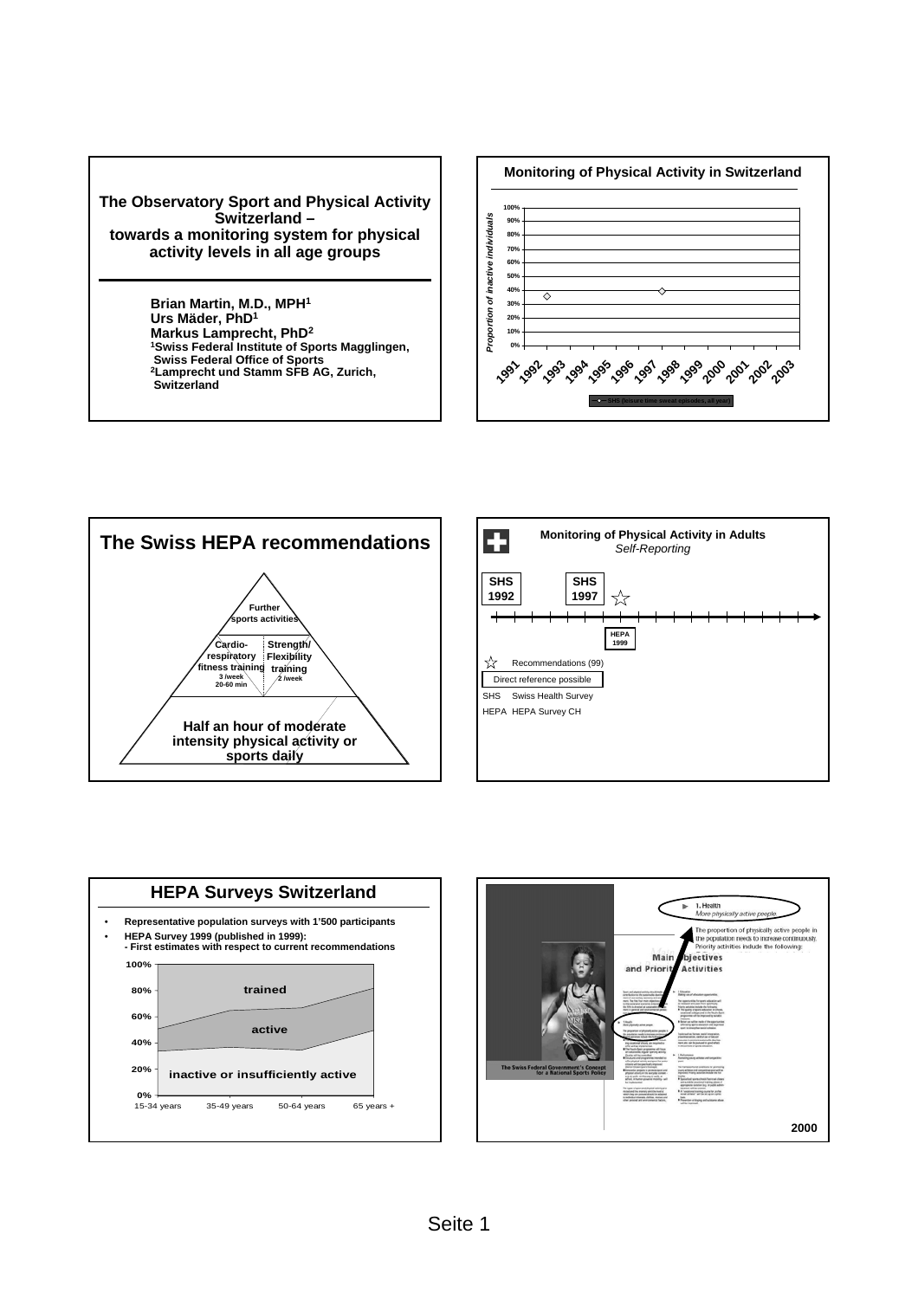





**Switzerland**





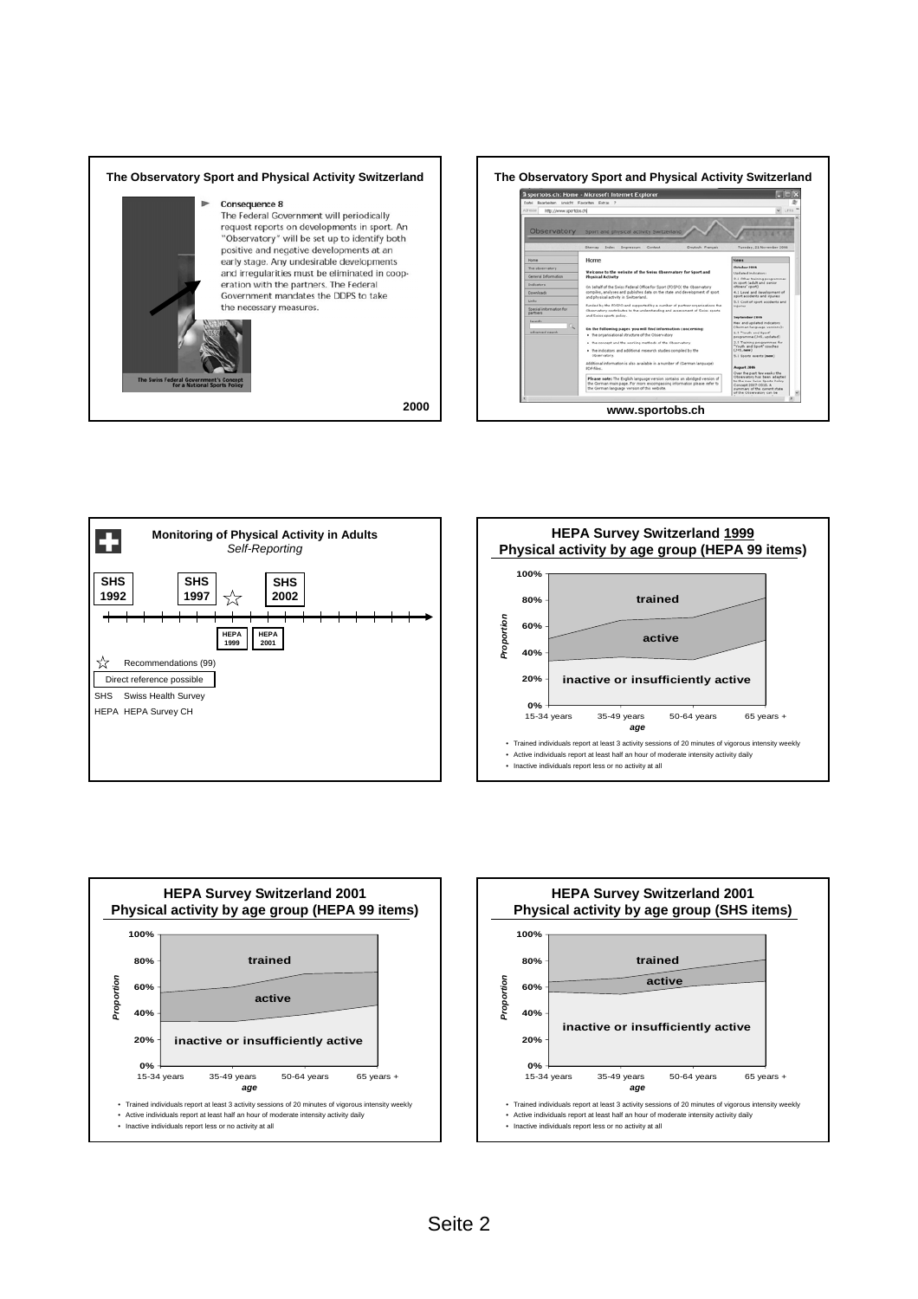









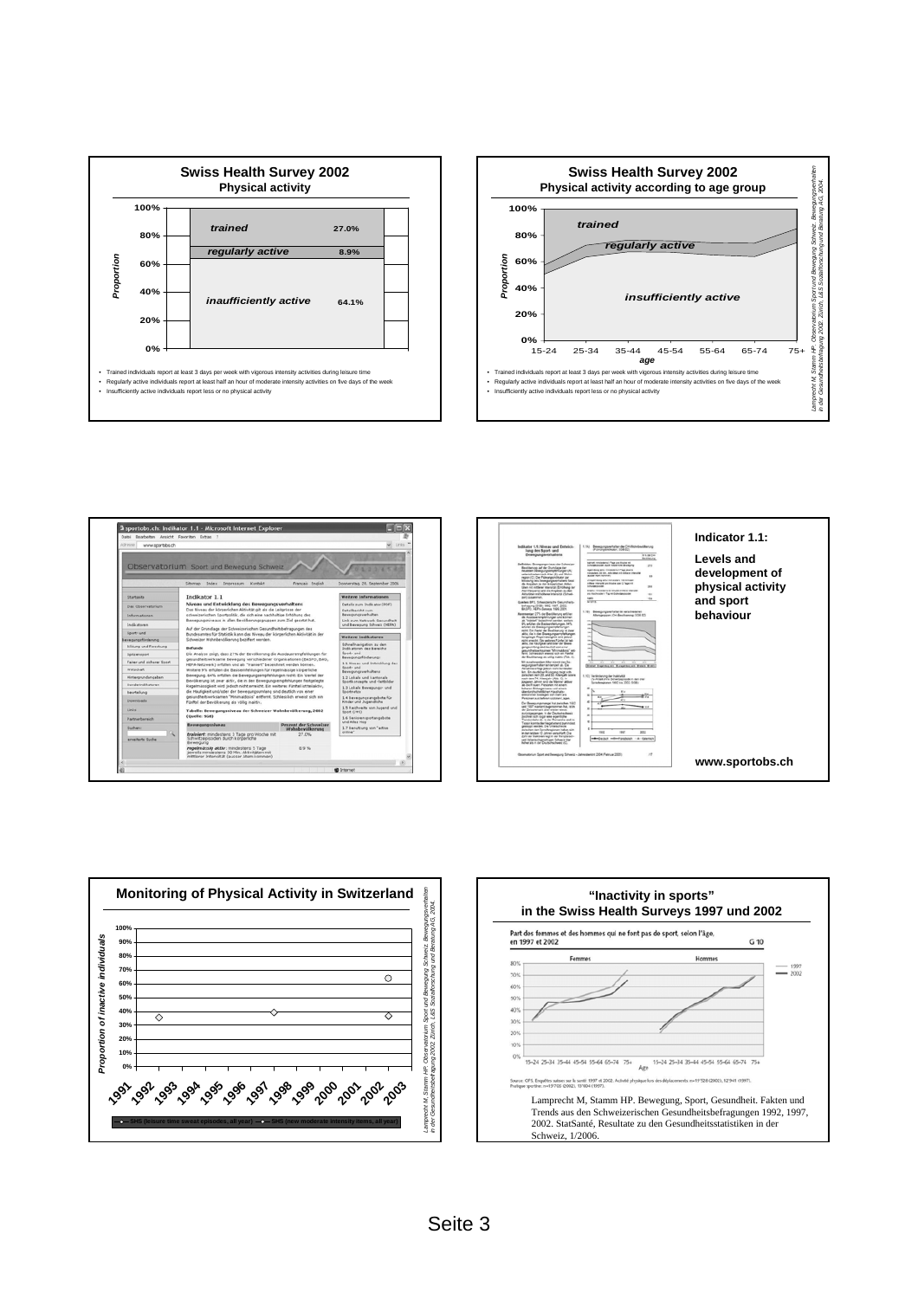









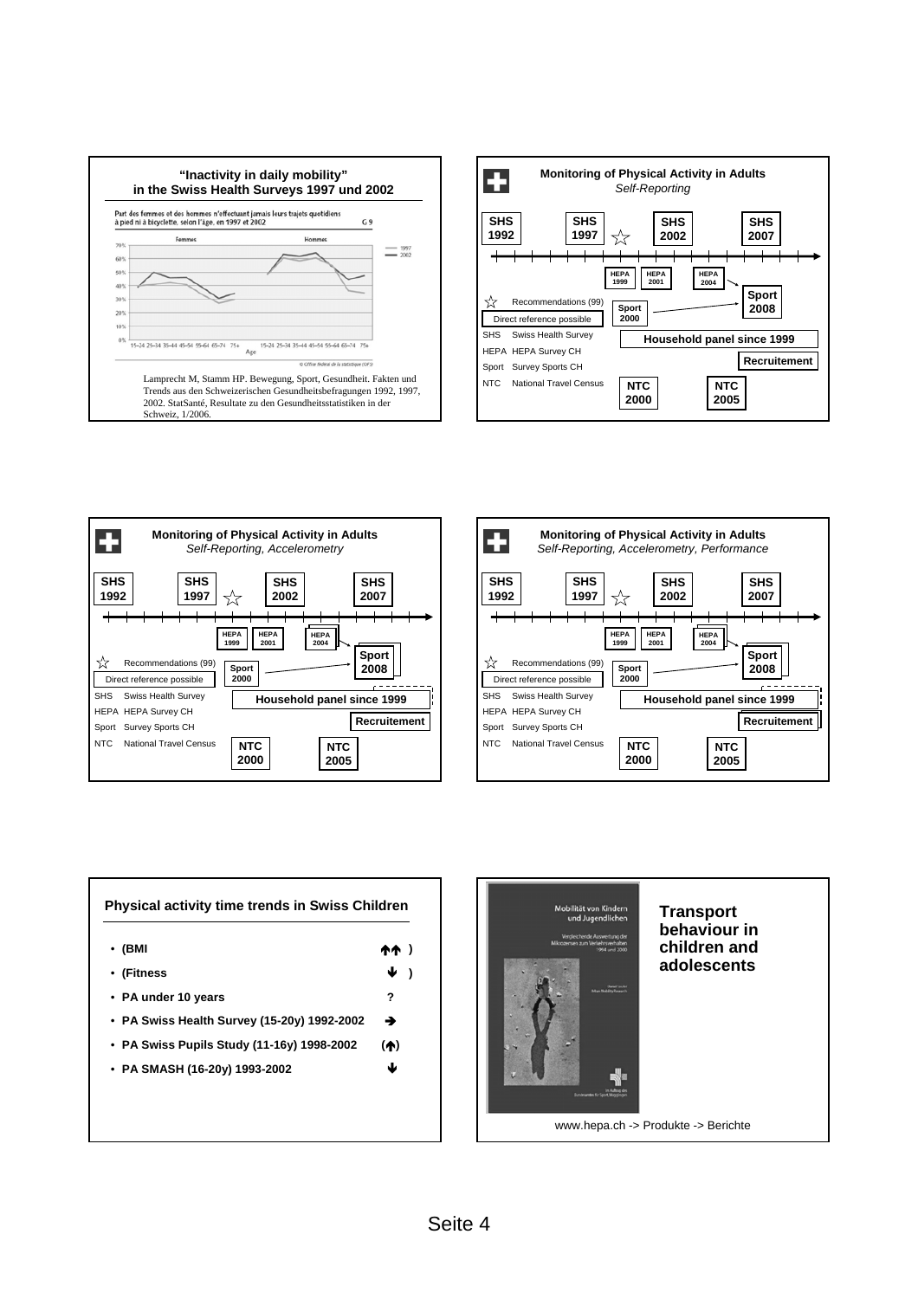









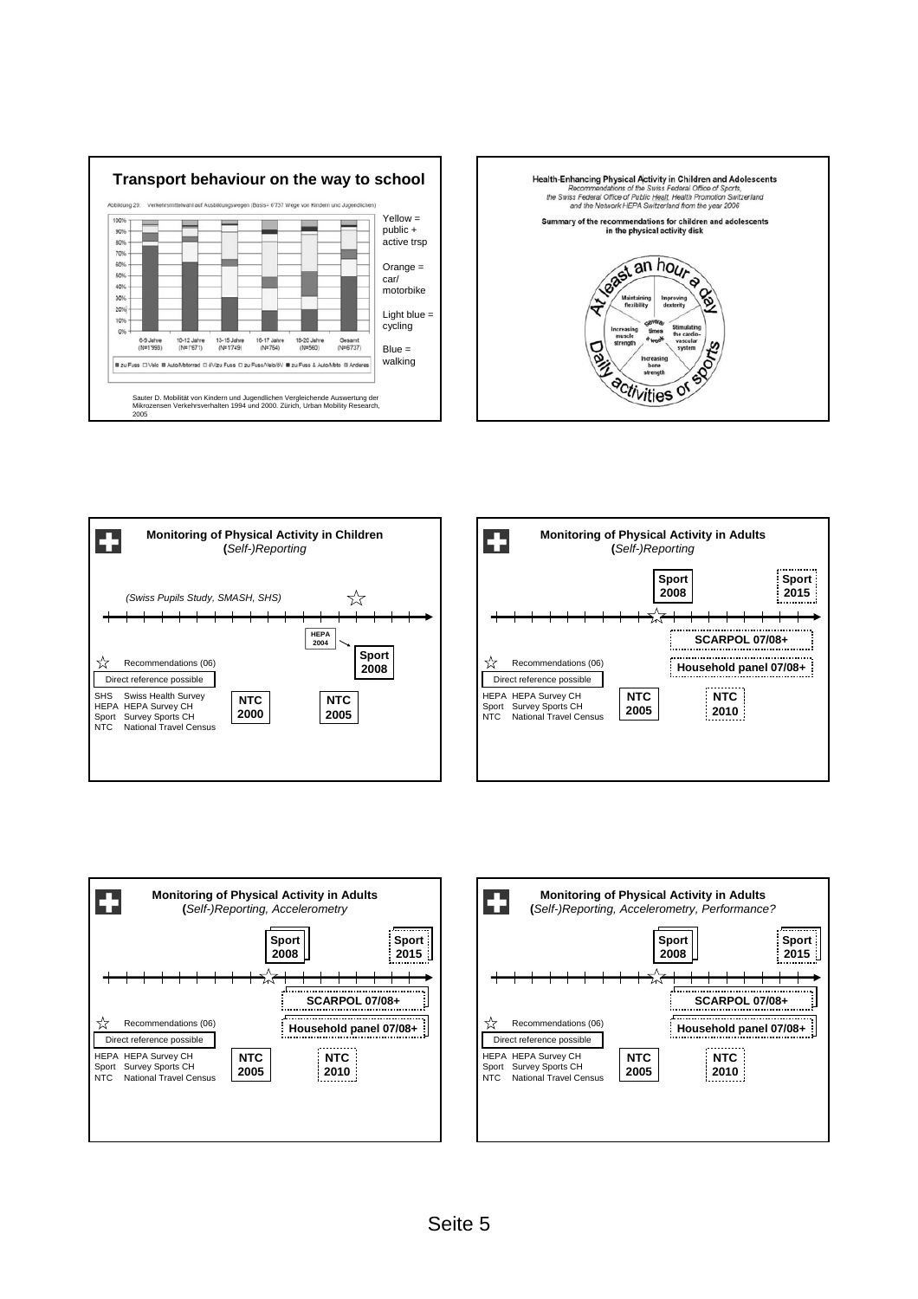